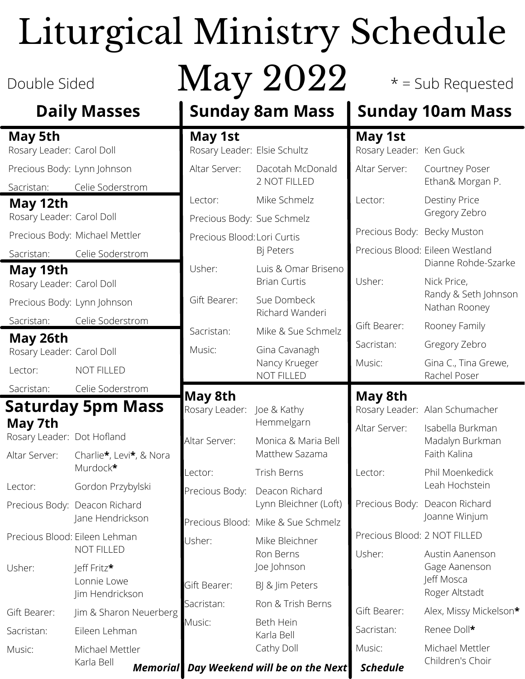# Liturgical Ministry Schedule

### **Daily Masses**

### **Saturday 5pm Mass May 5th** Rosary Leader: Dot Hofland Altar Server: Lector: Charlie**\***, Levi**\***, & Nora Murdock**\*** Gordon Przybylski **May 7th** Rosary Leader: Carol Doll Precious Body: Lynn Johnson Sacristan: Celie Soderstrom **May 12th** Rosary Leader: Carol Doll Precious Body: Michael Mettler Sacristan: Celie Soderstrom **May 19th** Rosary Leader: Carol Doll Precious Body: Lynn Johnson Sacristan: Celie Soderstrom **May 26th** Rosary Leader: Carol Doll Lector: Sacristan: NOT FILLED Celie Soderstrom

Precious Body: Deacon Richard

Jane Hendrickson

Jim & Sharon Neuerberg

NOT FILLED

Eileen Lehman

Michael Mettler

Karla Bell

Jeff Fritz**\*** Lonnie Lowe Jim Hendrickson

Precious Blood: Eileen Lehman

Usher:

Gift Bearer:

Sacristan:

Music:

## Double Sided  $\bf May~2022$   $\color{red} *$  = Sub Requested

### **May 1st May 1st**

Rosary Leader: Elsie Schultz Altar Server: Lector: Precious Body: Sue Schmelz Precious Blood: Lori Curtis Usher: Gift Bearer: Sacristan: Music: Dacotah McDo 2 NOT FILLED Mike Schmelz Bj Peters Luis & Omar B Brian Curtis Sue Dombeck **Richard Wand** Mike & Sue Scl Gina Cavanagh Nancy Krueger NOT FILLED Rosary Leader: Joe & Kathy Altar Server: Lector: Precious Body: Precious Blood: Mike & Sue Schmelz Usher: Gift Bearer: **May 8th** Hemmelgarn Monica & Mari Matthew Sazar Trish Berns Deacon Richar Lynn Bleichner Mike Bleichner Ron Berns Joe Johnson BJ & Jim Peters

### **Sunday 8am Mass Sunday 10am Mass**

|                                            | IVIAY IJL                    |                                                        |
|--------------------------------------------|------------------------------|--------------------------------------------------------|
| Elsie Schultz                              | Rosary Leader: Ken Guck      |                                                        |
| Dacotah McDonald<br>2 NOT FILLED           | Altar Server:                | Courtney Poser<br>Ethan& Morgan P.                     |
| Mike Schmelz                               | Lector:                      | <b>Destiny Price</b>                                   |
| Sue Schmelz                                |                              | Gregory Zebro                                          |
| Lori Curtis                                | Precious Body: Becky Muston  |                                                        |
| Bj Peters                                  |                              | Precious Blood: Eileen Westland<br>Dianne Rohde-Szarke |
| Luis & Omar Briseno<br><b>Brian Curtis</b> | Usher:                       | Nick Price,                                            |
| Sue Dombeck<br>Richard Wanderi             |                              | Randy & Seth Johnson<br>Nathan Rooney                  |
| Mike & Sue Schmelz                         | Gift Bearer:                 | Rooney Family                                          |
| Gina Cavanagh                              | Sacristan:                   | Gregory Zebro                                          |
| Nancy Krueger<br><b>NOT FILLED</b>         | Music:                       | Gina C., Tina Grewe,<br>Rachel Poser                   |
|                                            | May 8th                      |                                                        |
| Joe & Kathy                                |                              | Rosary Leader: Alan Schumacher                         |
| Hemmelgarn                                 | Altar Server:                | Isabella Burkman                                       |
|                                            |                              |                                                        |
| Monica & Maria Bell<br>Matthew Sazama      |                              | Madalyn Burkman<br>Faith Kalina                        |
| <b>Trish Berns</b>                         | Lector:                      | Phil Moenkedick                                        |
| Deacon Richard                             |                              | Leah Hochstein                                         |
| Lynn Bleichner (Loft)                      | Precious Body:               | Deacon Richard                                         |
| Mike & Sue Schmelz                         |                              | Joanne Winjum                                          |
| Mike Bleichner                             | Precious Blood: 2 NOT FILLED |                                                        |
| Ron Berns<br>Joe Johnson                   | Usher:                       | Austin Aanenson<br>Gage Aanenson                       |
| BJ & Jim Peters                            |                              | Jeff Mosca                                             |
| Ron & Trish Berns                          |                              | Roger Altstadt                                         |
| Beth Hein                                  | Gift Bearer:                 | Alex, Missy Mickelson*                                 |
| Karla Bell<br>Cathy Doll                   | Sacristan:<br>Music:         | Renee Doll*<br>Michael Mettler                         |

Children's Choir

*Memorial Day Weekend will be on the Next Schedule*

Sacristan:

Music: